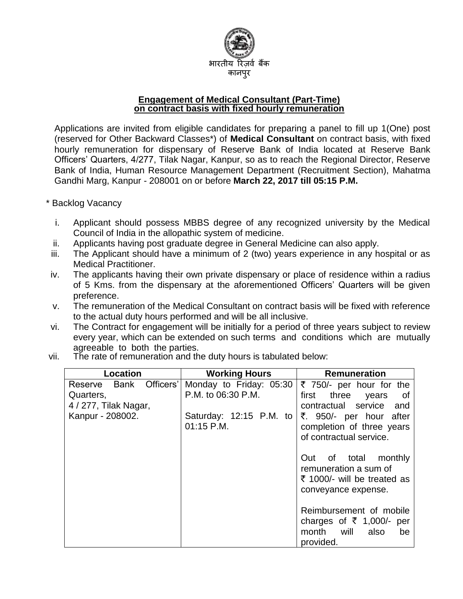

#### **Engagement of Medical Consultant (Part-Time) on contract basis with fixed hourly remuneration**

Applications are invited from eligible candidates for preparing a panel to fill up 1(One) post (reserved for Other Backward Classes\*) of **Medical Consultant** on contract basis, with fixed hourly remuneration for dispensary of Reserve Bank of India located at Reserve Bank Officers' Quarters, 4/277, Tilak Nagar, Kanpur, so as to reach the Regional Director, Reserve Bank of India, Human Resource Management Department (Recruitment Section), Mahatma Gandhi Marg, Kanpur - 208001 on or before **March 22, 2017 till 05:15 P.M.**

\* Backlog Vacancy

- i. Applicant should possess MBBS degree of any recognized university by the Medical Council of India in the allopathic system of medicine.
- ii. Applicants having post graduate degree in General Medicine can also apply.
- iii. The Applicant should have a minimum of 2 (two) years experience in any hospital or as Medical Practitioner.
- iv. The applicants having their own private dispensary or place of residence within a radius of 5 Kms. from the dispensary at the aforementioned Officers' Quarters will be given preference.
- v. The remuneration of the Medical Consultant on contract basis will be fixed with reference to the actual duty hours performed and will be all inclusive.
- vi. The Contract for engagement will be initially for a period of three years subject to review every year, which can be extended on such terms and conditions which are mutually agreeable to both the parties.
- vii. The rate of remuneration and the duty hours is tabulated below:

| Location                     | <b>Working Hours</b>    | <b>Remuneration</b>                     |  |
|------------------------------|-------------------------|-----------------------------------------|--|
| Officers'<br>Bank<br>Reserve | Monday to Friday: 05:30 | ₹ 750/- per hour for the                |  |
| Quarters,                    | P.M. to 06:30 P.M.      | first<br>three<br>of<br>years           |  |
| 4 / 277, Tilak Nagar,        |                         | contractual service and                 |  |
| Kanpur - 208002.             | Saturday: 12:15 P.M. to | ₹. 950/- per hour after                 |  |
|                              | 01:15 P.M.              | completion of three years               |  |
|                              |                         | of contractual service.                 |  |
|                              |                         |                                         |  |
|                              |                         | Out of total monthly                    |  |
|                              |                         | remuneration a sum of                   |  |
|                              |                         | ₹ 1000/- will be treated as             |  |
|                              |                         | conveyance expense.                     |  |
|                              |                         |                                         |  |
|                              |                         | Reimbursement of mobile                 |  |
|                              |                         | charges of $\overline{\xi}$ 1,000/- per |  |
|                              |                         | month<br>will<br>also<br>be             |  |
|                              |                         | provided.                               |  |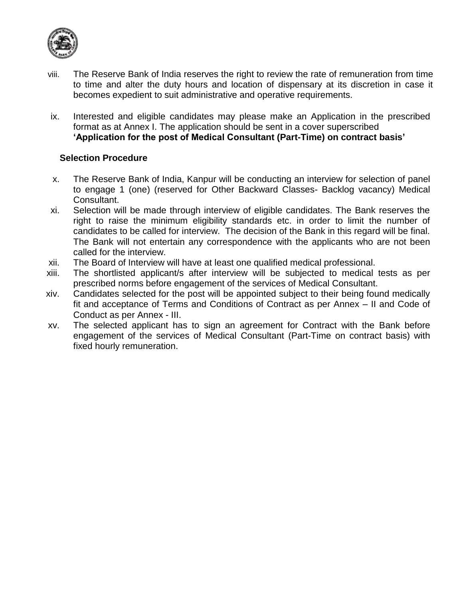

- viii. The Reserve Bank of India reserves the right to review the rate of remuneration from time to time and alter the duty hours and location of dispensary at its discretion in case it becomes expedient to suit administrative and operative requirements.
- ix. Interested and eligible candidates may please make an Application in the prescribed format as at Annex I. The application should be sent in a cover superscribed **'Application for the post of Medical Consultant (Part-Time) on contract basis'**

### **Selection Procedure**

- x. The Reserve Bank of India, Kanpur will be conducting an interview for selection of panel to engage 1 (one) (reserved for Other Backward Classes- Backlog vacancy) Medical Consultant.
- xi. Selection will be made through interview of eligible candidates. The Bank reserves the right to raise the minimum eligibility standards etc. in order to limit the number of candidates to be called for interview. The decision of the Bank in this regard will be final. The Bank will not entertain any correspondence with the applicants who are not been called for the interview.
- xii. The Board of Interview will have at least one qualified medical professional.
- xiii. The shortlisted applicant/s after interview will be subjected to medical tests as per prescribed norms before engagement of the services of Medical Consultant.
- xiv. Candidates selected for the post will be appointed subject to their being found medically fit and acceptance of Terms and Conditions of Contract as per Annex – II and Code of Conduct as per Annex - III.
- xv. The selected applicant has to sign an agreement for Contract with the Bank before engagement of the services of Medical Consultant (Part-Time on contract basis) with fixed hourly remuneration.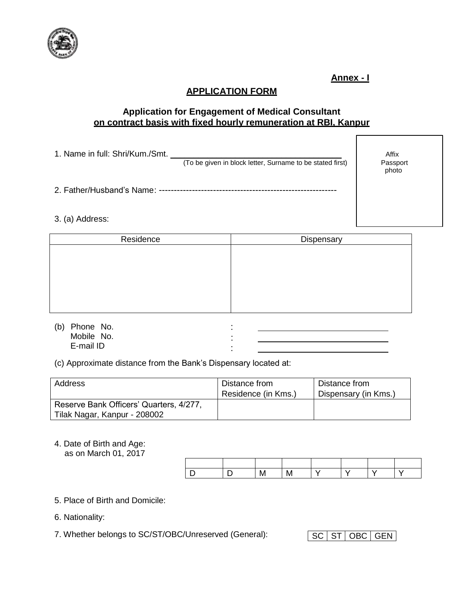

**Annex - I**

Passport photo

# **APPLICATION FORM**

## **Application for Engagement of Medical Consultant on contract basis with fixed hourly remuneration at RBI, Kanpur**

| 1. Name in full: Shri/Kum./Smt. |                                                           | Affix |
|---------------------------------|-----------------------------------------------------------|-------|
|                                 | (To be given in block letter, Surname to be stated first) | Passr |

2. Father/Husband's Name: -----------------------------------------------------------

#### 3. (a) Address:

| Residence | Dispensary |
|-----------|------------|
|           |            |
|           |            |
|           |            |
|           |            |
|           |            |
|           |            |

: : :

(b) Phone No. Mobile No. E-mail ID

(c) Approximate distance from the Bank's Dispensary located at:

|                                                                         | Distance from<br>Residence (in Kms.) | Distance from<br>Dispensary (in Kms.) |
|-------------------------------------------------------------------------|--------------------------------------|---------------------------------------|
| Reserve Bank Officers' Quarters, 4/277,<br>Tilak Nagar, Kanpur - 208002 |                                      |                                       |

4. Date of Birth and Age: as on March 01, 2017

- 5. Place of Birth and Domicile:
- 6. Nationality:
- 7. Whether belongs to SC/ST/OBC/Unreserved (General): SC ST OBC GEN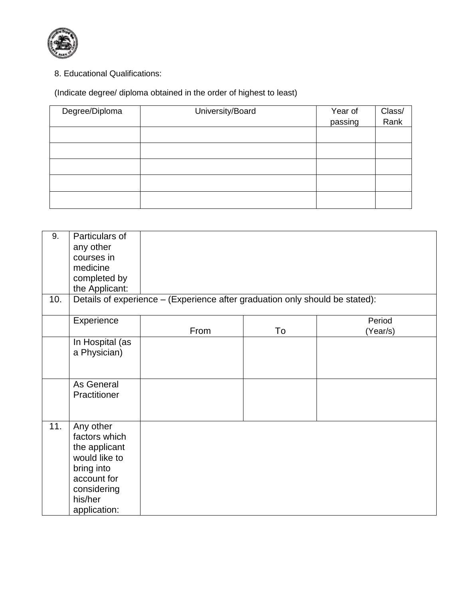

8. Educational Qualifications:

(Indicate degree/ diploma obtained in the order of highest to least)

| Degree/Diploma | University/Board | Year of<br>passing | Class/<br>Rank |
|----------------|------------------|--------------------|----------------|
|                |                  |                    |                |
|                |                  |                    |                |
|                |                  |                    |                |
|                |                  |                    |                |
|                |                  |                    |                |

| 9.  | Particulars of<br>any other<br>courses in<br>medicine<br>completed by<br>the Applicant:                                             |                                                                              |    |                    |  |  |
|-----|-------------------------------------------------------------------------------------------------------------------------------------|------------------------------------------------------------------------------|----|--------------------|--|--|
| 10. |                                                                                                                                     | Details of experience - (Experience after graduation only should be stated): |    |                    |  |  |
|     | Experience                                                                                                                          | From                                                                         | To | Period<br>(Year/s) |  |  |
|     | In Hospital (as<br>a Physician)                                                                                                     |                                                                              |    |                    |  |  |
|     | As General<br>Practitioner                                                                                                          |                                                                              |    |                    |  |  |
| 11. | Any other<br>factors which<br>the applicant<br>would like to<br>bring into<br>account for<br>considering<br>his/her<br>application: |                                                                              |    |                    |  |  |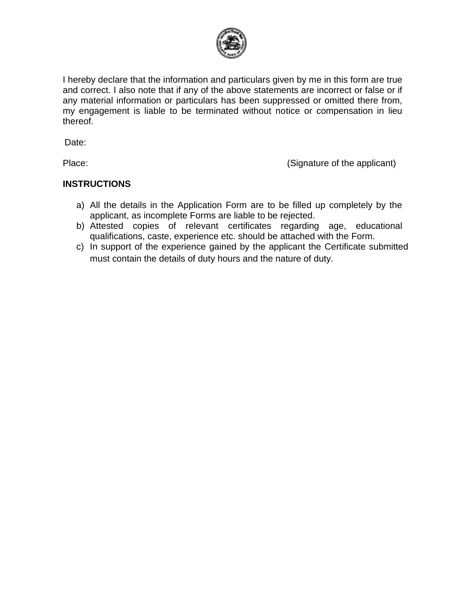

I hereby declare that the information and particulars given by me in this form are true and correct. I also note that if any of the above statements are incorrect or false or if any material information or particulars has been suppressed or omitted there from, my engagement is liable to be terminated without notice or compensation in lieu thereof.

Date:

Place: (Signature of the applicant)

## **INSTRUCTIONS**

- a) All the details in the Application Form are to be filled up completely by the applicant, as incomplete Forms are liable to be rejected.
- b) Attested copies of relevant certificates regarding age, educational qualifications, caste, experience etc. should be attached with the Form.
- c) In support of the experience gained by the applicant the Certificate submitted must contain the details of duty hours and the nature of duty.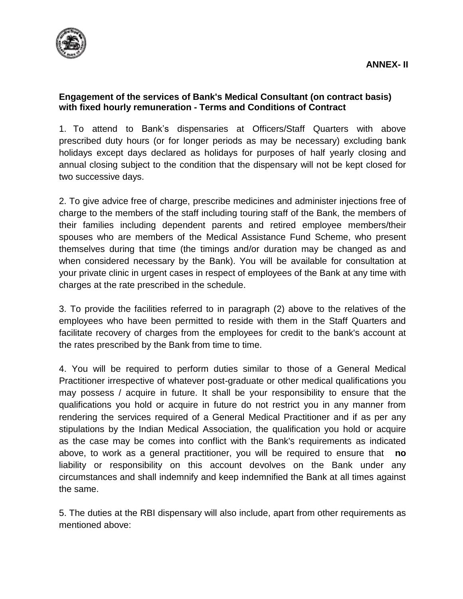

## **Engagement of the services of Bank's Medical Consultant (on contract basis) with fixed hourly remuneration - Terms and Conditions of Contract**

1. To attend to Bank's dispensaries at Officers/Staff Quarters with above prescribed duty hours (or for longer periods as may be necessary) excluding bank holidays except days declared as holidays for purposes of half yearly closing and annual closing subject to the condition that the dispensary will not be kept closed for two successive days.

2. To give advice free of charge, prescribe medicines and administer injections free of charge to the members of the staff including touring staff of the Bank, the members of their families including dependent parents and retired employee members/their spouses who are members of the Medical Assistance Fund Scheme, who present themselves during that time (the timings and/or duration may be changed as and when considered necessary by the Bank). You will be available for consultation at your private clinic in urgent cases in respect of employees of the Bank at any time with charges at the rate prescribed in the schedule.

3. To provide the facilities referred to in paragraph (2) above to the relatives of the employees who have been permitted to reside with them in the Staff Quarters and facilitate recovery of charges from the employees for credit to the bank's account at the rates prescribed by the Bank from time to time.

4. You will be required to perform duties similar to those of a General Medical Practitioner irrespective of whatever post-graduate or other medical qualifications you may possess / acquire in future. It shall be your responsibility to ensure that the qualifications you hold or acquire in future do not restrict you in any manner from rendering the services required of a General Medical Practitioner and if as per any stipulations by the Indian Medical Association, the qualification you hold or acquire as the case may be comes into conflict with the Bank's requirements as indicated above, to work as a general practitioner, you will be required to ensure that **no** liability or responsibility on this account devolves on the Bank under any circumstances and shall indemnify and keep indemnified the Bank at all times against the same.

5. The duties at the RBI dispensary will also include, apart from other requirements as mentioned above: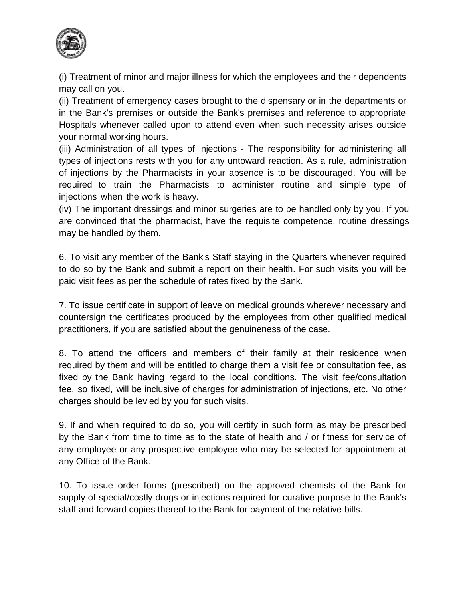

(i) Treatment of minor and major illness for which the employees and their dependents may call on you.

(ii) Treatment of emergency cases brought to the dispensary or in the departments or in the Bank's premises or outside the Bank's premises and reference to appropriate Hospitals whenever called upon to attend even when such necessity arises outside your normal working hours.

(iii) Administration of all types of injections - The responsibility for administering all types of injections rests with you for any untoward reaction. As a rule, administration of injections by the Pharmacists in your absence is to be discouraged. You will be required to train the Pharmacists to administer routine and simple type of injections when the work is heavy.

(iv) The important dressings and minor surgeries are to be handled only by you. If you are convinced that the pharmacist, have the requisite competence, routine dressings may be handled by them.

6. To visit any member of the Bank's Staff staying in the Quarters whenever required to do so by the Bank and submit a report on their health. For such visits you will be paid visit fees as per the schedule of rates fixed by the Bank.

7. To issue certificate in support of leave on medical grounds wherever necessary and countersign the certificates produced by the employees from other qualified medical practitioners, if you are satisfied about the genuineness of the case.

8. To attend the officers and members of their family at their residence when required by them and will be entitled to charge them a visit fee or consultation fee, as fixed by the Bank having regard to the local conditions. The visit fee/consultation fee, so fixed, will be inclusive of charges for administration of injections, etc. No other charges should be levied by you for such visits.

9. If and when required to do so, you will certify in such form as may be prescribed by the Bank from time to time as to the state of health and / or fitness for service of any employee or any prospective employee who may be selected for appointment at any Office of the Bank.

10. To issue order forms (prescribed) on the approved chemists of the Bank for supply of special/costly drugs or injections required for curative purpose to the Bank's staff and forward copies thereof to the Bank for payment of the relative bills.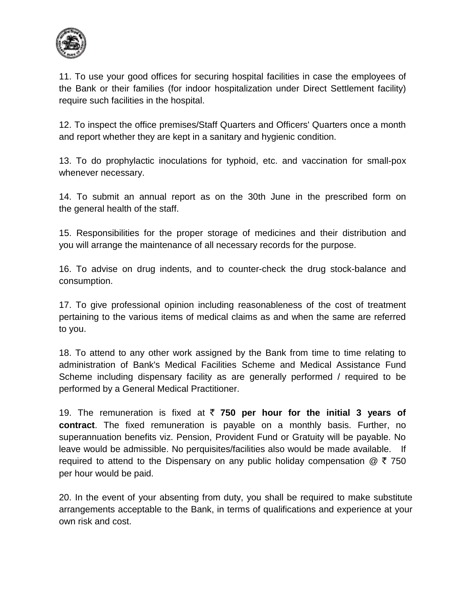

11. To use your good offices for securing hospital facilities in case the employees of the Bank or their families (for indoor hospitalization under Direct Settlement facility) require such facilities in the hospital.

12. To inspect the office premises/Staff Quarters and Officers' Quarters once a month and report whether they are kept in a sanitary and hygienic condition.

13. To do prophylactic inoculations for typhoid, etc. and vaccination for small-pox whenever necessary.

14. To submit an annual report as on the 30th June in the prescribed form on the general health of the staff.

15. Responsibilities for the proper storage of medicines and their distribution and you will arrange the maintenance of all necessary records for the purpose.

16. To advise on drug indents, and to counter-check the drug stock-balance and consumption.

17. To give professional opinion including reasonableness of the cost of treatment pertaining to the various items of medical claims as and when the same are referred to you.

18. To attend to any other work assigned by the Bank from time to time relating to administration of Bank's Medical Facilities Scheme and Medical Assistance Fund Scheme including dispensary facility as are generally performed / required to be performed by a General Medical Practitioner.

19. The remuneration is fixed at  $\bar{\tau}$  **750 per hour for the initial 3 years of contract**. The fixed remuneration is payable on a monthly basis. Further, no superannuation benefits viz. Pension, Provident Fund or Gratuity will be payable. No leave would be admissible. No perquisites/facilities also would be made available. If required to attend to the Dispensary on any public holiday compensation  $\mathcal{Q}$  ₹ 750 per hour would be paid.

20. In the event of your absenting from duty, you shall be required to make substitute arrangements acceptable to the Bank, in terms of qualifications and experience at your own risk and cost.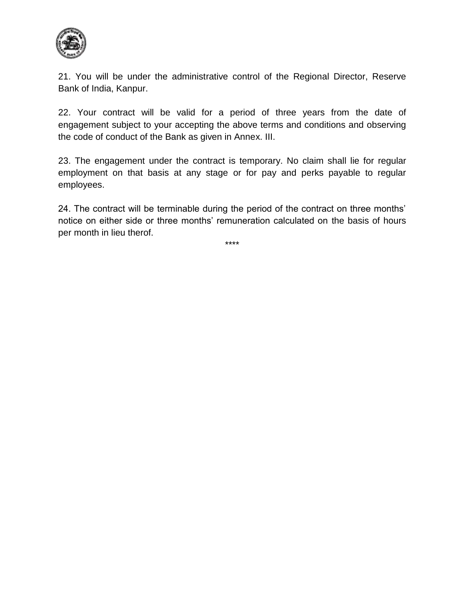

21. You will be under the administrative control of the Regional Director, Reserve Bank of India, Kanpur.

22. Your contract will be valid for a period of three years from the date of engagement subject to your accepting the above terms and conditions and observing the code of conduct of the Bank as given in Annex. III.

23. The engagement under the contract is temporary. No claim shall lie for regular employment on that basis at any stage or for pay and perks payable to regular employees.

24. The contract will be terminable during the period of the contract on three months' notice on either side or three months' remuneration calculated on the basis of hours per month in lieu therof.

\*\*\*\*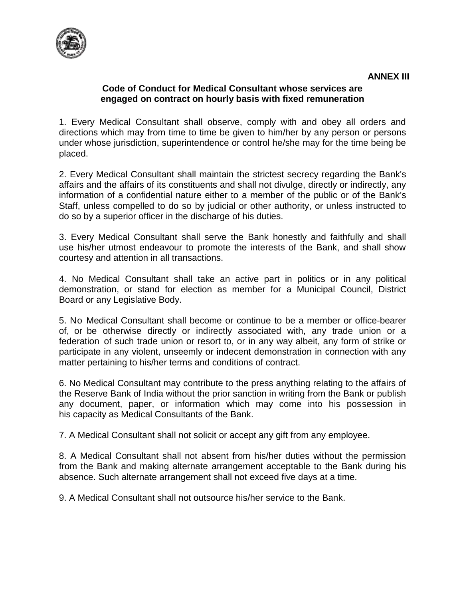

## **Code of Conduct for Medical Consultant whose services are engaged on contract on hourly basis with fixed remuneration**

1. Every Medical Consultant shall observe, comply with and obey all orders and directions which may from time to time be given to him/her by any person or persons under whose jurisdiction, superintendence or control he/she may for the time being be placed.

2. Every Medical Consultant shall maintain the strictest secrecy regarding the Bank's affairs and the affairs of its constituents and shall not divulge, directly or indirectly, any information of a confidential nature either to a member of the public or of the Bank's Staff, unless compelled to do so by judicial or other authority, or unless instructed to do so by a superior officer in the discharge of his duties.

3. Every Medical Consultant shall serve the Bank honestly and faithfully and shall use his/her utmost endeavour to promote the interests of the Bank, and shall show courtesy and attention in all transactions.

4. No Medical Consultant shall take an active part in politics or in any political demonstration, or stand for election as member for a Municipal Council, District Board or any Legislative Body.

5. No Medical Consultant shall become or continue to be a member or office-bearer of, or be otherwise directly or indirectly associated with, any trade union or a federation of such trade union or resort to, or in any way albeit, any form of strike or participate in any violent, unseemly or indecent demonstration in connection with any matter pertaining to his/her terms and conditions of contract.

6. No Medical Consultant may contribute to the press anything relating to the affairs of the Reserve Bank of India without the prior sanction in writing from the Bank or publish any document, paper, or information which may come into his possession in his capacity as Medical Consultants of the Bank.

7. A Medical Consultant shall not solicit or accept any gift from any employee.

8. A Medical Consultant shall not absent from his/her duties without the permission from the Bank and making alternate arrangement acceptable to the Bank during his absence. Such alternate arrangement shall not exceed five days at a time.

9. A Medical Consultant shall not outsource his/her service to the Bank.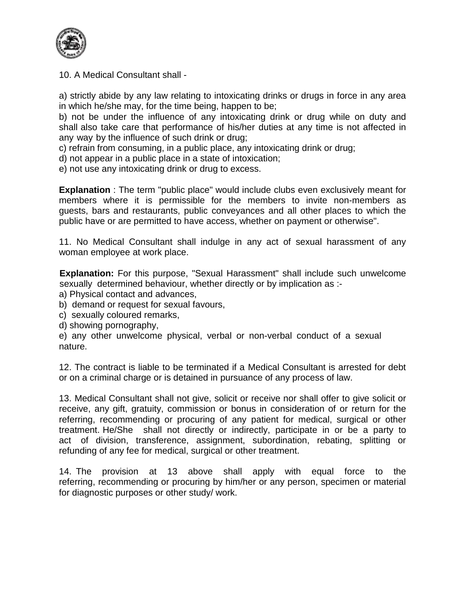

10. A Medical Consultant shall -

a) strictly abide by any law relating to intoxicating drinks or drugs in force in any area in which he/she may, for the time being, happen to be;

b) not be under the influence of any intoxicating drink or drug while on duty and shall also take care that performance of his/her duties at any time is not affected in any way by the influence of such drink or drug;

c) refrain from consuming, in a public place, any intoxicating drink or drug;

d) not appear in a public place in a state of intoxication;

e) not use any intoxicating drink or drug to excess.

**Explanation** : The term "public place" would include clubs even exclusively meant for members where it is permissible for the members to invite non-members as guests, bars and restaurants, public conveyances and all other places to which the public have or are permitted to have access, whether on payment or otherwise".

11. No Medical Consultant shall indulge in any act of sexual harassment of any woman employee at work place.

 **Explanation:** For this purpose, "Sexual Harassment" shall include such unwelcome sexually determined behaviour, whether directly or by implication as :-

- a) Physical contact and advances,
- b) demand or request for sexual favours,
- c) sexually coloured remarks,
- d) showing pornography,
- e) any other unwelcome physical, verbal or non-verbal conduct of a sexual nature.

12. The contract is liable to be terminated if a Medical Consultant is arrested for debt or on a criminal charge or is detained in pursuance of any process of law.

13. Medical Consultant shall not give, solicit or receive nor shall offer to give solicit or receive, any gift, gratuity, commission or bonus in consideration of or return for the referring, recommending or procuring of any patient for medical, surgical or other treatment. He/She shall not directly or indirectly, participate in or be a party to act of division, transference, assignment, subordination, rebating, splitting or refunding of any fee for medical, surgical or other treatment.

14. The provision at 13 above shall apply with equal force to the referring, recommending or procuring by him/her or any person, specimen or material for diagnostic purposes or other study/ work.